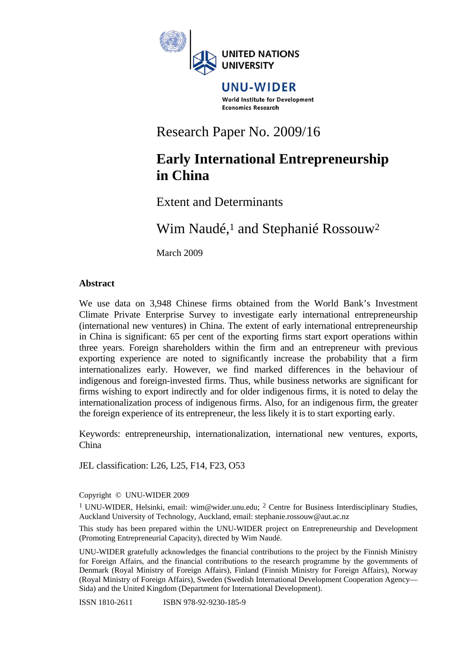

UNU-WIDER World Institute for Development **Economics Research** 

# Research Paper No. 2009/16

# **Early International Entrepreneurship in China**

## Extent and Determinants

Wim Naudé,<sup>1</sup> and Stephanié Rossouw<sup>2</sup>

March 2009

### **Abstract**

We use data on 3,948 Chinese firms obtained from the World Bank's Investment Climate Private Enterprise Survey to investigate early international entrepreneurship (international new ventures) in China. The extent of early international entrepreneurship in China is significant: 65 per cent of the exporting firms start export operations within three years. Foreign shareholders within the firm and an entrepreneur with previous exporting experience are noted to significantly increase the probability that a firm internationalizes early. However, we find marked differences in the behaviour of indigenous and foreign-invested firms. Thus, while business networks are significant for firms wishing to export indirectly and for older indigenous firms, it is noted to delay the internationalization process of indigenous firms. Also, for an indigenous firm, the greater the foreign experience of its entrepreneur, the less likely it is to start exporting early.

Keywords: entrepreneurship, internationalization, international new ventures, exports, China

JEL classification: L26, L25, F14, F23, O53

Copyright © UNU-WIDER 2009

<sup>1</sup> UNU-WIDER, Helsinki, email: wim@wider.unu.edu; <sup>2</sup> Centre for Business Interdisciplinary Studies, Auckland University of Technology, Auckland, email: stephanie.rossouw@aut.ac.nz

This study has been prepared within the UNU-WIDER project on Entrepreneurship and Development (Promoting Entrepreneurial Capacity), directed by Wim Naudé.

UNU-WIDER gratefully acknowledges the financial contributions to the project by the Finnish Ministry for Foreign Affairs, and the financial contributions to the research programme by the governments of Denmark (Royal Ministry of Foreign Affairs), Finland (Finnish Ministry for Foreign Affairs), Norway (Royal Ministry of Foreign Affairs), Sweden (Swedish International Development Cooperation Agency— Sida) and the United Kingdom (Department for International Development).

ISSN 1810-2611 ISBN 978-92-9230-185-9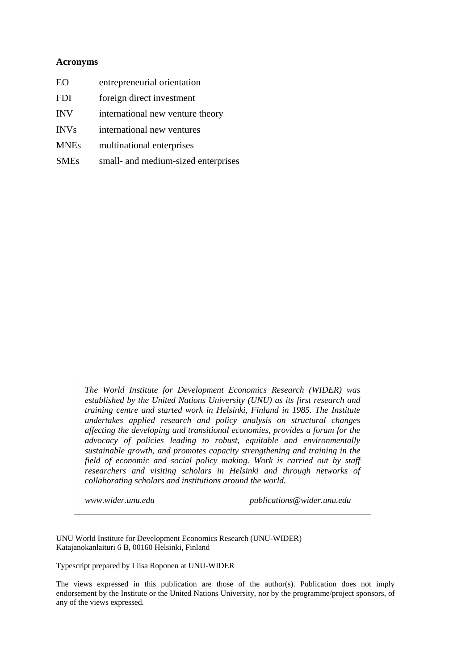#### **Acronyms**

| EО          | entrepreneurial orientation      |
|-------------|----------------------------------|
| <b>FDI</b>  | foreign direct investment        |
| <b>INV</b>  | international new venture theory |
| <b>INVs</b> | international new ventures       |
| <b>MNEs</b> | multinational enterprises        |

SMEs small- and medium-sized enterprises

*The World Institute for Development Economics Research (WIDER) was established by the United Nations University (UNU) as its first research and training centre and started work in Helsinki, Finland in 1985. The Institute undertakes applied research and policy analysis on structural changes affecting the developing and transitional economies, provides a forum for the advocacy of policies leading to robust, equitable and environmentally sustainable growth, and promotes capacity strengthening and training in the field of economic and social policy making. Work is carried out by staff researchers and visiting scholars in Helsinki and through networks of collaborating scholars and institutions around the world.* 

*www.wider.unu.edu publications@wider.unu.edu* 

UNU World Institute for Development Economics Research (UNU-WIDER) Katajanokanlaituri 6 B, 00160 Helsinki, Finland

Typescript prepared by Liisa Roponen at UNU-WIDER

The views expressed in this publication are those of the author(s). Publication does not imply endorsement by the Institute or the United Nations University, nor by the programme/project sponsors, of any of the views expressed.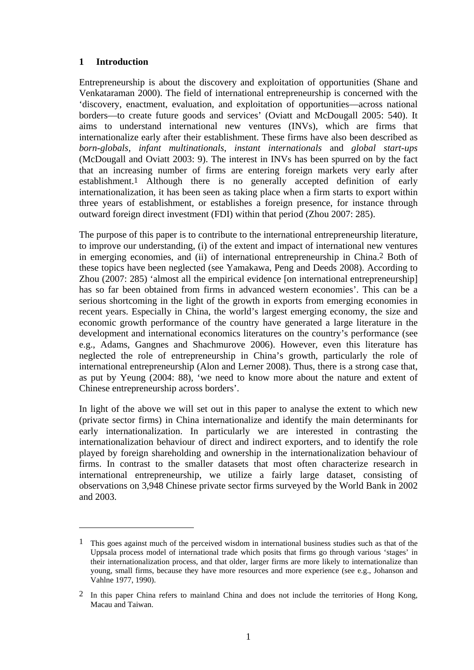## **1 Introduction**

<u>.</u>

Entrepreneurship is about the discovery and exploitation of opportunities (Shane and Venkataraman 2000). The field of international entrepreneurship is concerned with the 'discovery, enactment, evaluation, and exploitation of opportunities—across national borders—to create future goods and services' (Oviatt and McDougall 2005: 540). It aims to understand international new ventures (INVs), which are firms that internationalize early after their establishment. These firms have also been described as *born-globals*, *infant multinationals*, *instant internationals* and *global start-ups* (McDougall and Oviatt 2003: 9). The interest in INVs has been spurred on by the fact that an increasing number of firms are entering foreign markets very early after establishment.1 Although there is no generally accepted definition of early internationalization, it has been seen as taking place when a firm starts to export within three years of establishment, or establishes a foreign presence, for instance through outward foreign direct investment (FDI) within that period (Zhou 2007: 285).

The purpose of this paper is to contribute to the international entrepreneurship literature, to improve our understanding, (i) of the extent and impact of international new ventures in emerging economies, and (ii) of international entrepreneurship in China.2 Both of these topics have been neglected (see Yamakawa, Peng and Deeds 2008). According to Zhou (2007: 285) 'almost all the empirical evidence [on international entrepreneurship] has so far been obtained from firms in advanced western economies'. This can be a serious shortcoming in the light of the growth in exports from emerging economies in recent years. Especially in China, the world's largest emerging economy, the size and economic growth performance of the country have generated a large literature in the development and international economics literatures on the country's performance (see e.g., Adams, Gangnes and Shachmurove 2006). However, even this literature has neglected the role of entrepreneurship in China's growth, particularly the role of international entrepreneurship (Alon and Lerner 2008). Thus, there is a strong case that, as put by Yeung (2004: 88), 'we need to know more about the nature and extent of Chinese entrepreneurship across borders'.

In light of the above we will set out in this paper to analyse the extent to which new (private sector firms) in China internationalize and identify the main determinants for early internationalization. In particularly we are interested in contrasting the internationalization behaviour of direct and indirect exporters, and to identify the role played by foreign shareholding and ownership in the internationalization behaviour of firms. In contrast to the smaller datasets that most often characterize research in international entrepreneurship, we utilize a fairly large dataset, consisting of observations on 3,948 Chinese private sector firms surveyed by the World Bank in 2002 and 2003.

<sup>1</sup> This goes against much of the perceived wisdom in international business studies such as that of the Uppsala process model of international trade which posits that firms go through various 'stages' in their internationalization process, and that older, larger firms are more likely to internationalize than young, small firms, because they have more resources and more experience (see e.g., Johanson and Vahlne 1977, 1990).

<sup>2</sup> In this paper China refers to mainland China and does not include the territories of Hong Kong, Macau and Taiwan.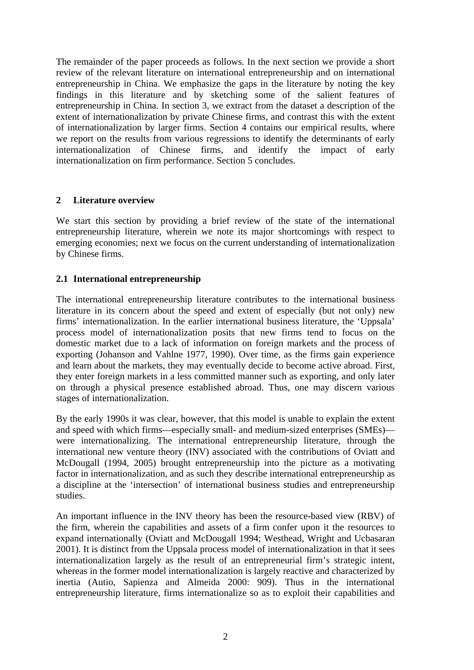The remainder of the paper proceeds as follows. In the next section we provide a short review of the relevant literature on international entrepreneurship and on international entrepreneurship in China. We emphasize the gaps in the literature by noting the key findings in this literature and by sketching some of the salient features of entrepreneurship in China. In section 3, we extract from the dataset a description of the extent of internationalization by private Chinese firms, and contrast this with the extent of internationalization by larger firms. Section 4 contains our empirical results, where we report on the results from various regressions to identify the determinants of early internationalization of Chinese firms, and identify the impact of early internationalization on firm performance. Section 5 concludes.

### **2 Literature overview**

We start this section by providing a brief review of the state of the international entrepreneurship literature, wherein we note its major shortcomings with respect to emerging economies; next we focus on the current understanding of internationalization by Chinese firms.

### **2.1 International entrepreneurship**

The international entrepreneurship literature contributes to the international business literature in its concern about the speed and extent of especially (but not only) new firms' internationalization. In the earlier international business literature, the 'Uppsala' process model of internationalization posits that new firms tend to focus on the domestic market due to a lack of information on foreign markets and the process of exporting (Johanson and Vahlne 1977, 1990). Over time, as the firms gain experience and learn about the markets, they may eventually decide to become active abroad. First, they enter foreign markets in a less committed manner such as exporting, and only later on through a physical presence established abroad. Thus, one may discern various stages of internationalization.

By the early 1990s it was clear, however, that this model is unable to explain the extent and speed with which firms—especially small- and medium-sized enterprises (SMEs) were internationalizing. The international entrepreneurship literature, through the international new venture theory (INV) associated with the contributions of Oviatt and McDougall (1994, 2005) brought entrepreneurship into the picture as a motivating factor in internationalization, and as such they describe international entrepreneurship as a discipline at the 'intersection' of international business studies and entrepreneurship studies.

An important influence in the INV theory has been the resource-based view (RBV) of the firm, wherein the capabilities and assets of a firm confer upon it the resources to expand internationally (Oviatt and McDougall 1994; Westhead, Wright and Ucbasaran 2001). It is distinct from the Uppsala process model of internationalization in that it sees internationalization largely as the result of an entrepreneurial firm's strategic intent, whereas in the former model internationalization is largely reactive and characterized by inertia (Autio, Sapienza and Almeida 2000: 909). Thus in the international entrepreneurship literature, firms internationalize so as to exploit their capabilities and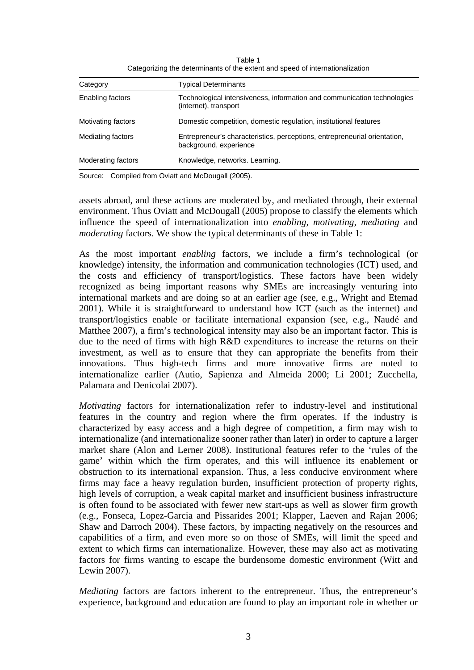| Category           | <b>Typical Determinants</b>                                                                         |
|--------------------|-----------------------------------------------------------------------------------------------------|
| Enabling factors   | Technological intensiveness, information and communication technologies<br>(internet), transport    |
| Motivating factors | Domestic competition, domestic regulation, institutional features                                   |
| Mediating factors  | Entrepreneur's characteristics, perceptions, entrepreneurial orientation,<br>background, experience |
| Moderating factors | Knowledge, networks. Learning.                                                                      |

Table 1 Categorizing the determinants of the extent and speed of internationalization

Source: Compiled from Oviatt and McDougall (2005).

assets abroad, and these actions are moderated by, and mediated through, their external environment. Thus Oviatt and McDougall (2005) propose to classify the elements which influence the speed of internationalization into *enabling, motivating, mediating* and *moderating* factors. We show the typical determinants of these in Table 1:

As the most important *enabling* factors, we include a firm's technological (or knowledge) intensity, the information and communication technologies (ICT) used, and the costs and efficiency of transport/logistics. These factors have been widely recognized as being important reasons why SMEs are increasingly venturing into international markets and are doing so at an earlier age (see, e.g., Wright and Etemad 2001). While it is straightforward to understand how ICT (such as the internet) and transport/logistics enable or facilitate international expansion (see, e.g., Naudé and Matthee 2007), a firm's technological intensity may also be an important factor. This is due to the need of firms with high R&D expenditures to increase the returns on their investment, as well as to ensure that they can appropriate the benefits from their innovations. Thus high-tech firms and more innovative firms are noted to internationalize earlier (Autio, Sapienza and Almeida 2000; Li 2001; Zucchella, Palamara and Denicolai 2007).

*Motivating* factors for internationalization refer to industry-level and institutional features in the country and region where the firm operates. If the industry is characterized by easy access and a high degree of competition, a firm may wish to internationalize (and internationalize sooner rather than later) in order to capture a larger market share (Alon and Lerner 2008). Institutional features refer to the 'rules of the game' within which the firm operates, and this will influence its enablement or obstruction to its international expansion. Thus, a less conducive environment where firms may face a heavy regulation burden, insufficient protection of property rights, high levels of corruption, a weak capital market and insufficient business infrastructure is often found to be associated with fewer new start-ups as well as slower firm growth (e.g., Fonseca, Lopez-Garcia and Pissarides 2001; Klapper, Laeven and Rajan 2006; Shaw and Darroch 2004). These factors, by impacting negatively on the resources and capabilities of a firm, and even more so on those of SMEs, will limit the speed and extent to which firms can internationalize. However, these may also act as motivating factors for firms wanting to escape the burdensome domestic environment (Witt and Lewin 2007).

*Mediating* factors are factors inherent to the entrepreneur. Thus, the entrepreneur's experience, background and education are found to play an important role in whether or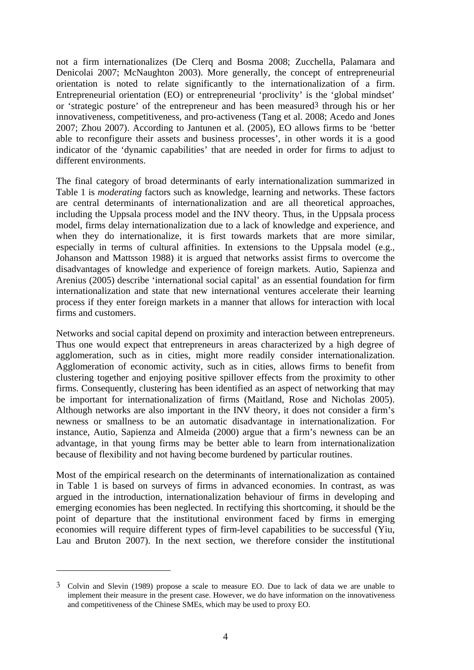not a firm internationalizes (De Clerq and Bosma 2008; Zucchella, Palamara and Denicolai 2007; McNaughton 2003). More generally, the concept of entrepreneurial orientation is noted to relate significantly to the internationalization of a firm. Entrepreneurial orientation (EO) or entrepreneurial 'proclivity' is the 'global mindset' or 'strategic posture' of the entrepreneur and has been measured3 through his or her innovativeness, competitiveness, and pro-activeness (Tang et al. 2008; Acedo and Jones 2007; Zhou 2007). According to Jantunen et al. (2005), EO allows firms to be 'better able to reconfigure their assets and business processes', in other words it is a good indicator of the 'dynamic capabilities' that are needed in order for firms to adjust to different environments.

The final category of broad determinants of early internationalization summarized in Table 1 is *moderating* factors such as knowledge, learning and networks. These factors are central determinants of internationalization and are all theoretical approaches, including the Uppsala process model and the INV theory. Thus, in the Uppsala process model, firms delay internationalization due to a lack of knowledge and experience, and when they do internationalize, it is first towards markets that are more similar, especially in terms of cultural affinities. In extensions to the Uppsala model (e.g., Johanson and Mattsson 1988) it is argued that networks assist firms to overcome the disadvantages of knowledge and experience of foreign markets. Autio, Sapienza and Arenius (2005) describe 'international social capital' as an essential foundation for firm internationalization and state that new international ventures accelerate their learning process if they enter foreign markets in a manner that allows for interaction with local firms and customers.

Networks and social capital depend on proximity and interaction between entrepreneurs. Thus one would expect that entrepreneurs in areas characterized by a high degree of agglomeration, such as in cities, might more readily consider internationalization. Agglomeration of economic activity, such as in cities, allows firms to benefit from clustering together and enjoying positive spillover effects from the proximity to other firms. Consequently, clustering has been identified as an aspect of networking that may be important for internationalization of firms (Maitland, Rose and Nicholas 2005). Although networks are also important in the INV theory, it does not consider a firm's newness or smallness to be an automatic disadvantage in internationalization. For instance, Autio, Sapienza and Almeida (2000) argue that a firm's newness can be an advantage, in that young firms may be better able to learn from internationalization because of flexibility and not having become burdened by particular routines.

Most of the empirical research on the determinants of internationalization as contained in Table 1 is based on surveys of firms in advanced economies. In contrast, as was argued in the introduction, internationalization behaviour of firms in developing and emerging economies has been neglected. In rectifying this shortcoming, it should be the point of departure that the institutional environment faced by firms in emerging economies will require different types of firm-level capabilities to be successful (Yiu, Lau and Bruton 2007). In the next section, we therefore consider the institutional

 $\overline{a}$ 

<sup>3</sup> Colvin and Slevin (1989) propose a scale to measure EO. Due to lack of data we are unable to implement their measure in the present case. However, we do have information on the innovativeness and competitiveness of the Chinese SMEs, which may be used to proxy EO.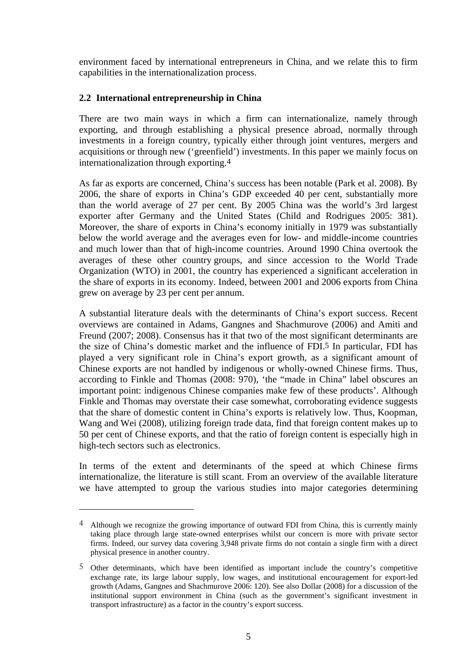environment faced by international entrepreneurs in China, and we relate this to firm capabilities in the internationalization process.

## **2.2 International entrepreneurship in China**

<u>.</u>

There are two main ways in which a firm can internationalize, namely through exporting, and through establishing a physical presence abroad, normally through investments in a foreign country, typically either through joint ventures, mergers and acquisitions or through new ('greenfield') investments. In this paper we mainly focus on internationalization through exporting.4

As far as exports are concerned, China's success has been notable (Park et al. 2008). By 2006, the share of exports in China's GDP exceeded 40 per cent, substantially more than the world average of 27 per cent. By 2005 China was the world's 3rd largest exporter after Germany and the United States (Child and Rodrigues 2005: 381). Moreover, the share of exports in China's economy initially in 1979 was substantially below the world average and the averages even for low- and middle-income countries and much lower than that of high-income countries. Around 1990 China overtook the averages of these other country groups, and since accession to the World Trade Organization (WTO) in 2001, the country has experienced a significant acceleration in the share of exports in its economy. Indeed, between 2001 and 2006 exports from China grew on average by 23 per cent per annum.

A substantial literature deals with the determinants of China's export success. Recent overviews are contained in Adams, Gangnes and Shachmurove (2006) and Amiti and Freund (2007; 2008). Consensus has it that two of the most significant determinants are the size of China's domestic market and the influence of FDI.5 In particular, FDI has played a very significant role in China's export growth, as a significant amount of Chinese exports are not handled by indigenous or wholly-owned Chinese firms. Thus, according to Finkle and Thomas (2008: 970), 'the "made in China" label obscures an important point: indigenous Chinese companies make few of these products'. Although Finkle and Thomas may overstate their case somewhat, corroborating evidence suggests that the share of domestic content in China's exports is relatively low. Thus, Koopman, Wang and Wei (2008), utilizing foreign trade data, find that foreign content makes up to 50 per cent of Chinese exports, and that the ratio of foreign content is especially high in high-tech sectors such as electronics.

In terms of the extent and determinants of the speed at which Chinese firms internationalize, the literature is still scant. From an overview of the available literature we have attempted to group the various studies into major categories determining

<sup>&</sup>lt;sup>4</sup> Although we recognize the growing importance of outward FDI from China, this is currently mainly taking place through large state-owned enterprises whilst our concern is more with private sector firms. Indeed, our survey data covering 3,948 private firms do not contain a single firm with a direct physical presence in another country.

<sup>5</sup> Other determinants, which have been identified as important include the country's competitive exchange rate, its large labour supply, low wages, and institutional encouragement for export-led growth (Adams, Gangnes and Shachmurove 2006: 120). See also Dollar (2008) for a discussion of the institutional support environment in China (such as the government's significant investment in transport infrastructure) as a factor in the country's export success.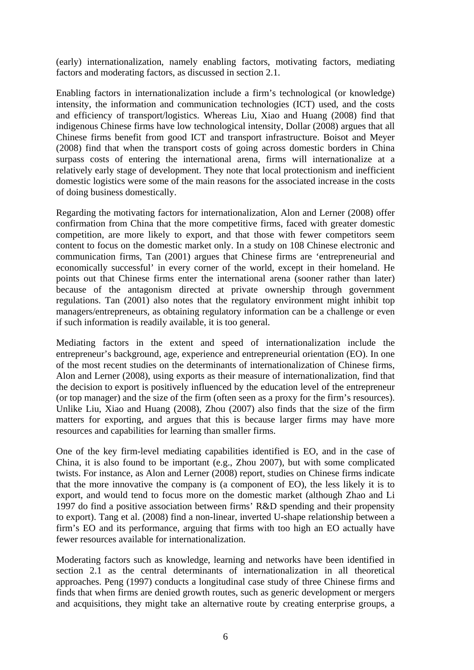(early) internationalization, namely enabling factors, motivating factors, mediating factors and moderating factors, as discussed in section 2.1.

Enabling factors in internationalization include a firm's technological (or knowledge) intensity, the information and communication technologies (ICT) used, and the costs and efficiency of transport/logistics. Whereas Liu, Xiao and Huang (2008) find that indigenous Chinese firms have low technological intensity, Dollar (2008) argues that all Chinese firms benefit from good ICT and transport infrastructure. Boisot and Meyer (2008) find that when the transport costs of going across domestic borders in China surpass costs of entering the international arena, firms will internationalize at a relatively early stage of development. They note that local protectionism and inefficient domestic logistics were some of the main reasons for the associated increase in the costs of doing business domestically.

Regarding the motivating factors for internationalization, Alon and Lerner (2008) offer confirmation from China that the more competitive firms, faced with greater domestic competition, are more likely to export, and that those with fewer competitors seem content to focus on the domestic market only. In a study on 108 Chinese electronic and communication firms, Tan (2001) argues that Chinese firms are 'entrepreneurial and economically successful' in every corner of the world, except in their homeland. He points out that Chinese firms enter the international arena (sooner rather than later) because of the antagonism directed at private ownership through government regulations. Tan (2001) also notes that the regulatory environment might inhibit top managers/entrepreneurs, as obtaining regulatory information can be a challenge or even if such information is readily available, it is too general.

Mediating factors in the extent and speed of internationalization include the entrepreneur's background, age, experience and entrepreneurial orientation (EO). In one of the most recent studies on the determinants of internationalization of Chinese firms, Alon and Lerner (2008), using exports as their measure of internationalization, find that the decision to export is positively influenced by the education level of the entrepreneur (or top manager) and the size of the firm (often seen as a proxy for the firm's resources). Unlike Liu, Xiao and Huang (2008), Zhou (2007) also finds that the size of the firm matters for exporting, and argues that this is because larger firms may have more resources and capabilities for learning than smaller firms.

One of the key firm-level mediating capabilities identified is EO, and in the case of China, it is also found to be important (e.g., Zhou 2007), but with some complicated twists. For instance, as Alon and Lerner (2008) report, studies on Chinese firms indicate that the more innovative the company is (a component of EO), the less likely it is to export, and would tend to focus more on the domestic market (although Zhao and Li 1997 do find a positive association between firms' R&D spending and their propensity to export). Tang et al. (2008) find a non-linear, inverted U-shape relationship between a firm's EO and its performance, arguing that firms with too high an EO actually have fewer resources available for internationalization.

Moderating factors such as knowledge, learning and networks have been identified in section 2.1 as the central determinants of internationalization in all theoretical approaches. Peng (1997) conducts a longitudinal case study of three Chinese firms and finds that when firms are denied growth routes, such as generic development or mergers and acquisitions, they might take an alternative route by creating enterprise groups, a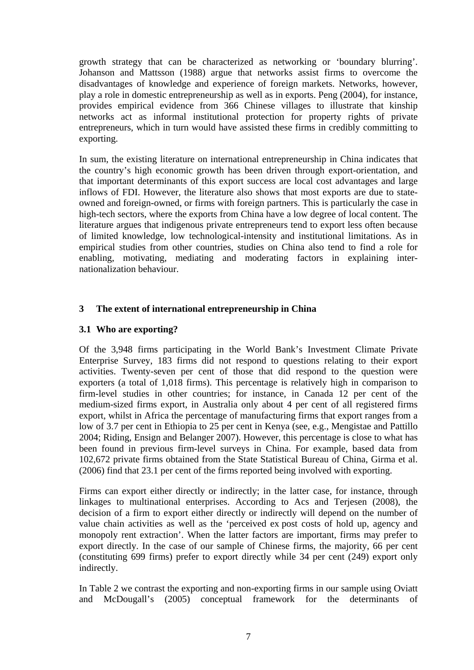growth strategy that can be characterized as networking or 'boundary blurring'. Johanson and Mattsson (1988) argue that networks assist firms to overcome the disadvantages of knowledge and experience of foreign markets. Networks, however, play a role in domestic entrepreneurship as well as in exports. Peng (2004), for instance, provides empirical evidence from 366 Chinese villages to illustrate that kinship networks act as informal institutional protection for property rights of private entrepreneurs, which in turn would have assisted these firms in credibly committing to exporting.

In sum, the existing literature on international entrepreneurship in China indicates that the country's high economic growth has been driven through export-orientation, and that important determinants of this export success are local cost advantages and large inflows of FDI. However, the literature also shows that most exports are due to stateowned and foreign-owned, or firms with foreign partners. This is particularly the case in high-tech sectors, where the exports from China have a low degree of local content. The literature argues that indigenous private entrepreneurs tend to export less often because of limited knowledge, low technological-intensity and institutional limitations. As in empirical studies from other countries, studies on China also tend to find a role for enabling, motivating, mediating and moderating factors in explaining internationalization behaviour.

## **3 The extent of international entrepreneurship in China**

#### **3.1 Who are exporting?**

Of the 3,948 firms participating in the World Bank's Investment Climate Private Enterprise Survey, 183 firms did not respond to questions relating to their export activities. Twenty-seven per cent of those that did respond to the question were exporters (a total of 1,018 firms). This percentage is relatively high in comparison to firm-level studies in other countries; for instance, in Canada 12 per cent of the medium-sized firms export, in Australia only about 4 per cent of all registered firms export, whilst in Africa the percentage of manufacturing firms that export ranges from a low of 3.7 per cent in Ethiopia to 25 per cent in Kenya (see, e.g., Mengistae and Pattillo 2004; Riding, Ensign and Belanger 2007). However, this percentage is close to what has been found in previous firm-level surveys in China. For example, based data from 102,672 private firms obtained from the State Statistical Bureau of China, Girma et al. (2006) find that 23.1 per cent of the firms reported being involved with exporting.

Firms can export either directly or indirectly; in the latter case, for instance, through linkages to multinational enterprises. According to Acs and Terjesen (2008), the decision of a firm to export either directly or indirectly will depend on the number of value chain activities as well as the 'perceived ex post costs of hold up, agency and monopoly rent extraction'. When the latter factors are important, firms may prefer to export directly. In the case of our sample of Chinese firms, the majority, 66 per cent (constituting 699 firms) prefer to export directly while 34 per cent (249) export only indirectly.

In Table 2 we contrast the exporting and non-exporting firms in our sample using Oviatt and McDougall's (2005) conceptual framework for the determinants of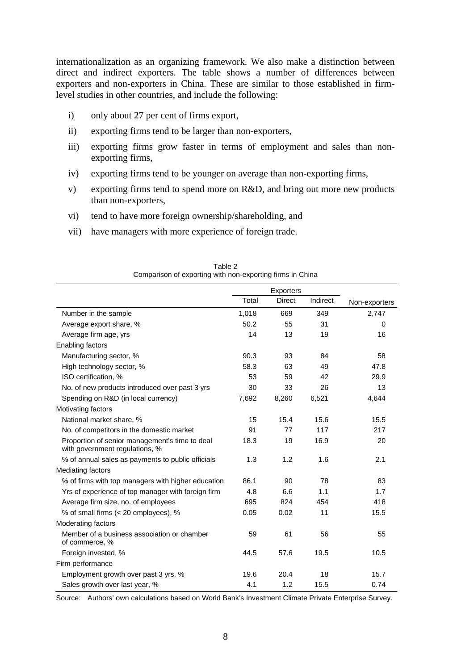internationalization as an organizing framework. We also make a distinction between direct and indirect exporters. The table shows a number of differences between exporters and non-exporters in China. These are similar to those established in firmlevel studies in other countries, and include the following:

- i) only about 27 per cent of firms export,
- ii) exporting firms tend to be larger than non-exporters,
- iii) exporting firms grow faster in terms of employment and sales than nonexporting firms,
- iv) exporting firms tend to be younger on average than non-exporting firms,
- v) exporting firms tend to spend more on R&D, and bring out more new products than non-exporters,
- vi) tend to have more foreign ownership/shareholding, and
- vii) have managers with more experience of foreign trade.

|                                                                                  | Total | <b>Direct</b> | Indirect | Non-exporters |
|----------------------------------------------------------------------------------|-------|---------------|----------|---------------|
| Number in the sample                                                             | 1,018 | 669           | 349      | 2,747         |
| Average export share, %                                                          | 50.2  | 55            | 31       | 0             |
| Average firm age, yrs                                                            | 14    | 13            | 19       | 16            |
| <b>Enabling factors</b>                                                          |       |               |          |               |
| Manufacturing sector, %                                                          | 90.3  | 93            | 84       | 58            |
| High technology sector, %                                                        | 58.3  | 63            | 49       | 47.8          |
| ISO certification, %                                                             | 53    | 59            | 42       | 29.9          |
| No. of new products introduced over past 3 yrs                                   | 30    | 33            | 26       | 13            |
| Spending on R&D (in local currency)                                              | 7,692 | 8,260         | 6,521    | 4,644         |
| Motivating factors                                                               |       |               |          |               |
| National market share, %                                                         | 15    | 15.4          | 15.6     | 15.5          |
| No. of competitors in the domestic market                                        | 91    | 77            | 117      | 217           |
| Proportion of senior management's time to deal<br>with government regulations, % | 18.3  | 19            | 16.9     | 20            |
| % of annual sales as payments to public officials                                | 1.3   | 1.2           | 1.6      | 2.1           |
| Mediating factors                                                                |       |               |          |               |
| % of firms with top managers with higher education                               | 86.1  | 90            | 78       | 83            |
| Yrs of experience of top manager with foreign firm                               | 4.8   | 6.6           | 1.1      | 1.7           |
| Average firm size, no. of employees                                              | 695   | 824           | 454      | 418           |
| % of small firms (< 20 employees), %                                             | 0.05  | 0.02          | 11       | 15.5          |
| <b>Moderating factors</b>                                                        |       |               |          |               |
| Member of a business association or chamber<br>of commerce, %                    | 59    | 61            | 56       | 55            |
| Foreign invested, %                                                              | 44.5  | 57.6          | 19.5     | 10.5          |
| Firm performance                                                                 |       |               |          |               |
| Employment growth over past 3 yrs, %                                             | 19.6  | 20.4          | 18       | 15.7          |
| Sales growth over last year, %                                                   | 4.1   | 1.2           | 15.5     | 0.74          |

Table 2 Comparison of exporting with non-exporting firms in China

Source: Authors' own calculations based on World Bank's Investment Climate Private Enterprise Survey.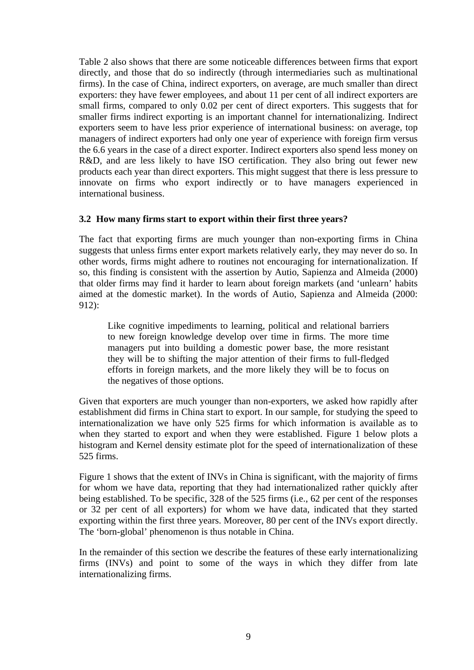Table 2 also shows that there are some noticeable differences between firms that export directly, and those that do so indirectly (through intermediaries such as multinational firms). In the case of China, indirect exporters, on average, are much smaller than direct exporters: they have fewer employees, and about 11 per cent of all indirect exporters are small firms, compared to only 0.02 per cent of direct exporters. This suggests that for smaller firms indirect exporting is an important channel for internationalizing. Indirect exporters seem to have less prior experience of international business: on average, top managers of indirect exporters had only one year of experience with foreign firm versus the 6.6 years in the case of a direct exporter. Indirect exporters also spend less money on R&D, and are less likely to have ISO certification. They also bring out fewer new products each year than direct exporters. This might suggest that there is less pressure to innovate on firms who export indirectly or to have managers experienced in international business.

### **3.2 How many firms start to export within their first three years?**

The fact that exporting firms are much younger than non-exporting firms in China suggests that unless firms enter export markets relatively early, they may never do so. In other words, firms might adhere to routines not encouraging for internationalization. If so, this finding is consistent with the assertion by Autio, Sapienza and Almeida (2000) that older firms may find it harder to learn about foreign markets (and 'unlearn' habits aimed at the domestic market). In the words of Autio, Sapienza and Almeida (2000: 912):

Like cognitive impediments to learning, political and relational barriers to new foreign knowledge develop over time in firms. The more time managers put into building a domestic power base, the more resistant they will be to shifting the major attention of their firms to full-fledged efforts in foreign markets, and the more likely they will be to focus on the negatives of those options.

Given that exporters are much younger than non-exporters, we asked how rapidly after establishment did firms in China start to export. In our sample, for studying the speed to internationalization we have only 525 firms for which information is available as to when they started to export and when they were established. Figure 1 below plots a histogram and Kernel density estimate plot for the speed of internationalization of these 525 firms.

Figure 1 shows that the extent of INVs in China is significant, with the majority of firms for whom we have data, reporting that they had internationalized rather quickly after being established. To be specific, 328 of the 525 firms (i.e., 62 per cent of the responses or 32 per cent of all exporters) for whom we have data, indicated that they started exporting within the first three years. Moreover, 80 per cent of the INVs export directly. The 'born-global' phenomenon is thus notable in China.

In the remainder of this section we describe the features of these early internationalizing firms (INVs) and point to some of the ways in which they differ from late internationalizing firms.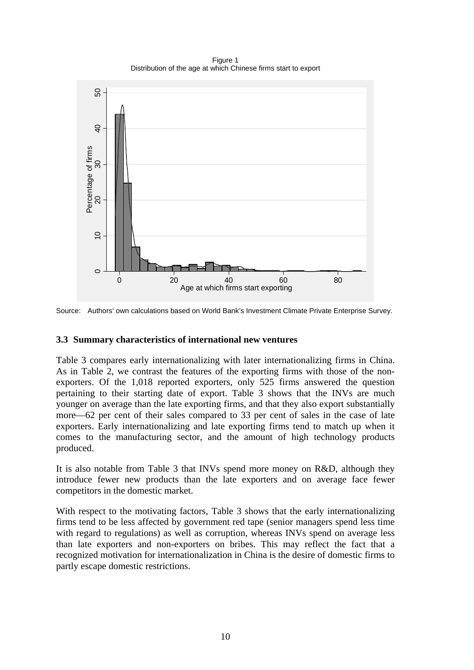Figure 1 Distribution of the age at which Chinese firms start to export



Source: Authors' own calculations based on World Bank's Investment Climate Private Enterprise Survey.

#### **3.3 Summary characteristics of international new ventures**

Table 3 compares early internationalizing with later internationalizing firms in China. As in Table 2, we contrast the features of the exporting firms with those of the nonexporters. Of the 1,018 reported exporters, only 525 firms answered the question pertaining to their starting date of export. Table 3 shows that the INVs are much younger on average than the late exporting firms, and that they also export substantially more—62 per cent of their sales compared to 33 per cent of sales in the case of late exporters. Early internationalizing and late exporting firms tend to match up when it comes to the manufacturing sector, and the amount of high technology products produced.

It is also notable from Table 3 that INVs spend more money on R&D, although they introduce fewer new products than the late exporters and on average face fewer competitors in the domestic market.

With respect to the motivating factors, Table 3 shows that the early internationalizing firms tend to be less affected by government red tape (senior managers spend less time with regard to regulations) as well as corruption, whereas INVs spend on average less than late exporters and non-exporters on bribes. This may reflect the fact that a recognized motivation for internationalization in China is the desire of domestic firms to partly escape domestic restrictions.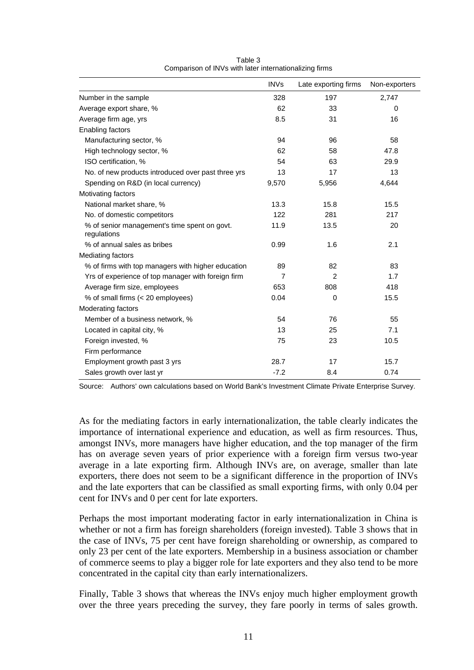|                                                             | <b>INVs</b> | Late exporting firms | Non-exporters |
|-------------------------------------------------------------|-------------|----------------------|---------------|
| Number in the sample                                        | 328         | 197                  | 2,747         |
| Average export share, %                                     | 62          | 33                   | 0             |
| Average firm age, yrs                                       | 8.5         | 31                   | 16            |
| Enabling factors                                            |             |                      |               |
| Manufacturing sector, %                                     | 94          | 96                   | 58            |
| High technology sector, %                                   | 62          | 58                   | 47.8          |
| ISO certification. %                                        | 54          | 63                   | 29.9          |
| No. of new products introduced over past three yrs          | 13          | 17                   | 13            |
| Spending on R&D (in local currency)                         | 9,570       | 5,956                | 4,644         |
| Motivating factors                                          |             |                      |               |
| National market share, %                                    | 13.3        | 15.8                 | 15.5          |
| No. of domestic competitors                                 | 122         | 281                  | 217           |
| % of senior management's time spent on govt.<br>regulations | 11.9        | 13.5                 | 20            |
| % of annual sales as bribes                                 | 0.99        | 1.6                  | 2.1           |
| <b>Mediating factors</b>                                    |             |                      |               |
| % of firms with top managers with higher education          | 89          | 82                   | 83            |
| Yrs of experience of top manager with foreign firm          | 7           | 2                    | 1.7           |
| Average firm size, employees                                | 653         | 808                  | 418           |
| % of small firms (< 20 employees)                           | 0.04        | 0                    | 15.5          |
| <b>Moderating factors</b>                                   |             |                      |               |
| Member of a business network, %                             | 54          | 76                   | 55            |
| Located in capital city, %                                  | 13          | 25                   | 7.1           |
| Foreign invested, %                                         | 75          | 23                   | 10.5          |
| Firm performance                                            |             |                      |               |
| Employment growth past 3 yrs                                | 28.7        | 17                   | 15.7          |
| Sales growth over last yr                                   | $-7.2$      | 8.4                  | 0.74          |

Table 3 Comparison of INVs with later internationalizing firms

Source: Authors' own calculations based on World Bank's Investment Climate Private Enterprise Survey.

As for the mediating factors in early internationalization, the table clearly indicates the importance of international experience and education, as well as firm resources. Thus, amongst INVs, more managers have higher education, and the top manager of the firm has on average seven years of prior experience with a foreign firm versus two-year average in a late exporting firm. Although INVs are, on average, smaller than late exporters, there does not seem to be a significant difference in the proportion of INVs and the late exporters that can be classified as small exporting firms, with only 0.04 per cent for INVs and 0 per cent for late exporters.

Perhaps the most important moderating factor in early internationalization in China is whether or not a firm has foreign shareholders (foreign invested). Table 3 shows that in the case of INVs, 75 per cent have foreign shareholding or ownership, as compared to only 23 per cent of the late exporters. Membership in a business association or chamber of commerce seems to play a bigger role for late exporters and they also tend to be more concentrated in the capital city than early internationalizers.

Finally, Table 3 shows that whereas the INVs enjoy much higher employment growth over the three years preceding the survey, they fare poorly in terms of sales growth.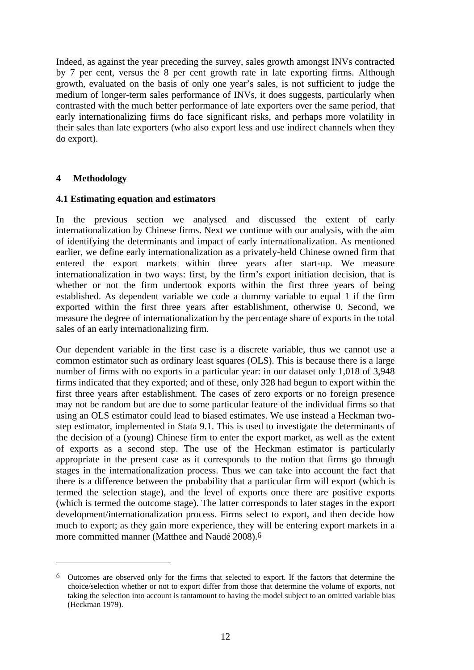Indeed, as against the year preceding the survey, sales growth amongst INVs contracted by 7 per cent, versus the 8 per cent growth rate in late exporting firms. Although growth, evaluated on the basis of only one year's sales, is not sufficient to judge the medium of longer-term sales performance of INVs, it does suggests, particularly when contrasted with the much better performance of late exporters over the same period, that early internationalizing firms do face significant risks, and perhaps more volatility in their sales than late exporters (who also export less and use indirect channels when they do export).

### **4 Methodology**

 $\overline{a}$ 

#### **4.1 Estimating equation and estimators**

In the previous section we analysed and discussed the extent of early internationalization by Chinese firms. Next we continue with our analysis, with the aim of identifying the determinants and impact of early internationalization. As mentioned earlier, we define early internationalization as a privately-held Chinese owned firm that entered the export markets within three years after start-up. We measure internationalization in two ways: first, by the firm's export initiation decision, that is whether or not the firm undertook exports within the first three years of being established. As dependent variable we code a dummy variable to equal 1 if the firm exported within the first three years after establishment, otherwise 0. Second, we measure the degree of internationalization by the percentage share of exports in the total sales of an early internationalizing firm.

Our dependent variable in the first case is a discrete variable, thus we cannot use a common estimator such as ordinary least squares (OLS). This is because there is a large number of firms with no exports in a particular year: in our dataset only 1,018 of 3,948 firms indicated that they exported; and of these, only 328 had begun to export within the first three years after establishment. The cases of zero exports or no foreign presence may not be random but are due to some particular feature of the individual firms so that using an OLS estimator could lead to biased estimates. We use instead a Heckman twostep estimator, implemented in Stata 9.1. This is used to investigate the determinants of the decision of a (young) Chinese firm to enter the export market, as well as the extent of exports as a second step. The use of the Heckman estimator is particularly appropriate in the present case as it corresponds to the notion that firms go through stages in the internationalization process. Thus we can take into account the fact that there is a difference between the probability that a particular firm will export (which is termed the selection stage), and the level of exports once there are positive exports (which is termed the outcome stage). The latter corresponds to later stages in the export development/internationalization process. Firms select to export, and then decide how much to export; as they gain more experience, they will be entering export markets in a more committed manner (Matthee and Naudé 2008).6

<sup>6</sup> Outcomes are observed only for the firms that selected to export. If the factors that determine the choice/selection whether or not to export differ from those that determine the volume of exports, not taking the selection into account is tantamount to having the model subject to an omitted variable bias (Heckman 1979).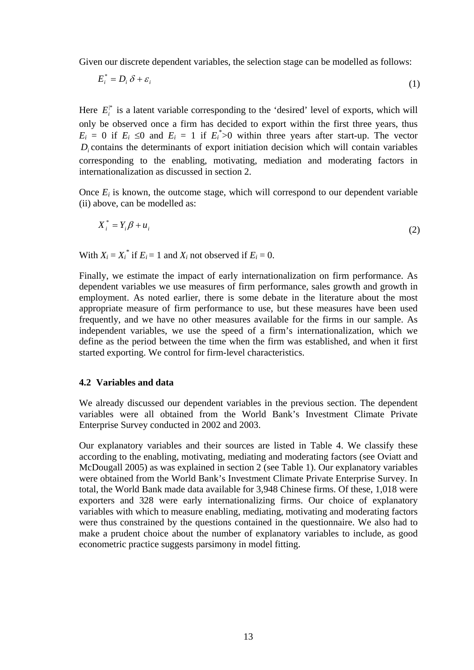Given our discrete dependent variables, the selection stage can be modelled as follows:

$$
E_i^* = D_i \delta + \varepsilon_i \tag{1}
$$

Here  $E_i^*$  is a latent variable corresponding to the 'desired' level of exports, which will only be observed once a firm has decided to export within the first three years, thus  $E_i = 0$  if  $E_i \le 0$  and  $E_i = 1$  if  $E_i^* > 0$  within three years after start-up. The vector *D*<sub>i</sub> contains the determinants of export initiation decision which will contain variables corresponding to the enabling, motivating, mediation and moderating factors in internationalization as discussed in section 2.

Once  $E_i$  is known, the outcome stage, which will correspond to our dependent variable (ii) above, can be modelled as:

$$
X_i^* = Y_i \beta + u_i \tag{2}
$$

With  $X_i = X_i^*$  if  $E_i = 1$  and  $X_i$  not observed if  $E_i = 0$ .

Finally, we estimate the impact of early internationalization on firm performance. As dependent variables we use measures of firm performance, sales growth and growth in employment. As noted earlier, there is some debate in the literature about the most appropriate measure of firm performance to use, but these measures have been used frequently, and we have no other measures available for the firms in our sample. As independent variables, we use the speed of a firm's internationalization, which we define as the period between the time when the firm was established, and when it first started exporting. We control for firm-level characteristics.

#### **4.2 Variables and data**

We already discussed our dependent variables in the previous section. The dependent variables were all obtained from the World Bank's Investment Climate Private Enterprise Survey conducted in 2002 and 2003.

Our explanatory variables and their sources are listed in Table 4. We classify these according to the enabling, motivating, mediating and moderating factors (see Oviatt and McDougall 2005) as was explained in section 2 (see Table 1). Our explanatory variables were obtained from the World Bank's Investment Climate Private Enterprise Survey. In total, the World Bank made data available for 3,948 Chinese firms. Of these, 1,018 were exporters and 328 were early internationalizing firms. Our choice of explanatory variables with which to measure enabling, mediating, motivating and moderating factors were thus constrained by the questions contained in the questionnaire. We also had to make a prudent choice about the number of explanatory variables to include, as good econometric practice suggests parsimony in model fitting.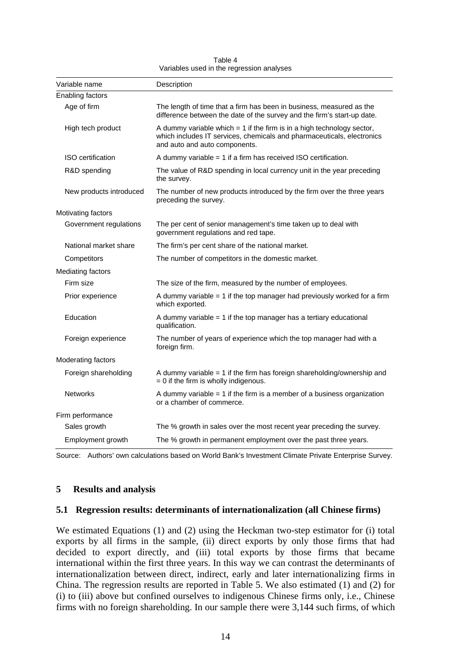| Variable name            | Description                                                                                                                                                                         |
|--------------------------|-------------------------------------------------------------------------------------------------------------------------------------------------------------------------------------|
| Enabling factors         |                                                                                                                                                                                     |
| Age of firm              | The length of time that a firm has been in business, measured as the<br>difference between the date of the survey and the firm's start-up date.                                     |
| High tech product        | A dummy variable which $= 1$ if the firm is in a high technology sector,<br>which includes IT services, chemicals and pharmaceuticals, electronics<br>and auto and auto components. |
| <b>ISO</b> certification | A dummy variable $= 1$ if a firm has received ISO certification.                                                                                                                    |
| R&D spending             | The value of R&D spending in local currency unit in the year preceding<br>the survey.                                                                                               |
| New products introduced  | The number of new products introduced by the firm over the three years<br>preceding the survey.                                                                                     |
| Motivating factors       |                                                                                                                                                                                     |
| Government regulations   | The per cent of senior management's time taken up to deal with<br>government regulations and red tape.                                                                              |
| National market share    | The firm's per cent share of the national market.                                                                                                                                   |
| Competitors              | The number of competitors in the domestic market.                                                                                                                                   |
| <b>Mediating factors</b> |                                                                                                                                                                                     |
| Firm size                | The size of the firm, measured by the number of employees.                                                                                                                          |
| Prior experience         | A dummy variable $= 1$ if the top manager had previously worked for a firm<br>which exported.                                                                                       |
| Education                | A dummy variable $= 1$ if the top manager has a tertiary educational<br>qualification.                                                                                              |
| Foreign experience       | The number of years of experience which the top manager had with a<br>foreign firm.                                                                                                 |
| Moderating factors       |                                                                                                                                                                                     |
| Foreign shareholding     | A dummy variable $= 1$ if the firm has foreign shareholding/ownership and<br>$= 0$ if the firm is wholly indigenous.                                                                |
| <b>Networks</b>          | A dummy variable $= 1$ if the firm is a member of a business organization<br>or a chamber of commerce.                                                                              |
| Firm performance         |                                                                                                                                                                                     |
| Sales growth             | The % growth in sales over the most recent year preceding the survey.                                                                                                               |
| Employment growth        | The % growth in permanent employment over the past three years.                                                                                                                     |

Table 4 Variables used in the regression analyses

Source: Authors' own calculations based on World Bank's Investment Climate Private Enterprise Survey.

#### **5 Results and analysis**

#### **5.1 Regression results: determinants of internationalization (all Chinese firms)**

We estimated Equations (1) and (2) using the Heckman two-step estimator for (i) total exports by all firms in the sample, (ii) direct exports by only those firms that had decided to export directly, and (iii) total exports by those firms that became international within the first three years. In this way we can contrast the determinants of internationalization between direct, indirect, early and later internationalizing firms in China. The regression results are reported in Table 5. We also estimated (1) and (2) for (i) to (iii) above but confined ourselves to indigenous Chinese firms only, i.e., Chinese firms with no foreign shareholding. In our sample there were 3,144 such firms, of which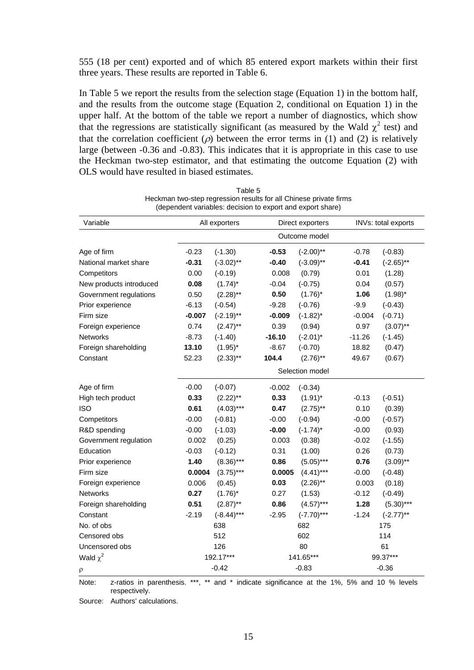555 (18 per cent) exported and of which 85 entered export markets within their first three years. These results are reported in Table 6.

In Table 5 we report the results from the selection stage (Equation 1) in the bottom half, and the results from the outcome stage (Equation 2, conditional on Equation 1) in the upper half. At the bottom of the table we report a number of diagnostics, which show that the regressions are statistically significant (as measured by the Wald  $\chi^2$  test) and that the correlation coefficient  $(\rho)$  between the error terms in (1) and (2) is relatively large (between -0.36 and -0.83). This indicates that it is appropriate in this case to use the Heckman two-step estimator, and that estimating the outcome Equation (2) with OLS would have resulted in biased estimates.

| Variable                | All exporters |               | Direct exporters |                 |          | INVs: total exports |  |
|-------------------------|---------------|---------------|------------------|-----------------|----------|---------------------|--|
|                         |               |               | Outcome model    |                 |          |                     |  |
| Age of firm             | $-0.23$       | $(-1.30)$     | $-0.53$          | $(-2.00)$ **    | $-0.78$  | $(-0.83)$           |  |
| National market share   | $-0.31$       | $(-3.02)$ **  | $-0.40$          | $(-3.09)$ **    | $-0.41$  | $(-2.65)$ **        |  |
| Competitors             | 0.00          | $(-0.19)$     | 0.008            | (0.79)          | 0.01     | (1.28)              |  |
| New products introduced | 0.08          | $(1.74)^*$    | $-0.04$          | $(-0.75)$       | 0.04     | (0.57)              |  |
| Government regulations  | 0.50          | $(2.28)$ **   | 0.50             | $(1.76)^*$      | 1.06     | $(1.98)^*$          |  |
| Prior experience        | $-6.13$       | $(-0.54)$     | $-9.28$          | $(-0.76)$       | $-9.9$   | $(-0.43)$           |  |
| Firm size               | $-0.007$      | $(-2.19)$ **  | $-0.009$         | $(-1.82)^*$     | $-0.004$ | $(-0.71)$           |  |
| Foreign experience      | 0.74          | $(2.47)$ **   | 0.39             | (0.94)          | 0.97     | $(3.07)$ **         |  |
| <b>Networks</b>         | $-8.73$       | $(-1.40)$     | $-16.10$         | $(-2.01)^*$     | $-11.26$ | $(-1.45)$           |  |
| Foreign shareholding    | 13.10         | $(1.95)^*$    | $-8.67$          | $(-0.70)$       | 18.82    | (0.47)              |  |
| Constant                | 52.23         | $(2.33)$ **   | 104.4            | $(2.76)$ **     | 49.67    | (0.67)              |  |
|                         |               |               |                  | Selection model |          |                     |  |
| Age of firm             | $-0.00$       | $(-0.07)$     | $-0.002$         | $(-0.34)$       |          |                     |  |
| High tech product       | 0.33          | $(2.22)$ **   | 0.33             | $(1.91)^*$      | $-0.13$  | $(-0.51)$           |  |
| <b>ISO</b>              | 0.61          | $(4.03)***$   | 0.47             | $(2.75)$ **     | 0.10     | (0.39)              |  |
| Competitors             | $-0.00$       | $(-0.81)$     | $-0.00$          | $(-0.94)$       | $-0.00$  | $(-0.57)$           |  |
| R&D spending            | $-0.00$       | $(-1.03)$     | $-0.00$          | $(-1.74)^*$     | $-0.00$  | (0.93)              |  |
| Government regulation   | 0.002         | (0.25)        | 0.003            | (0.38)          | $-0.02$  | $(-1.55)$           |  |
| Education               | $-0.03$       | $(-0.12)$     | 0.31             | (1.00)          | 0.26     | (0.73)              |  |
| Prior experience        | 1.40          | $(8.36)***$   | 0.86             | $(5.05)***$     | 0.76     | $(3.09)$ **         |  |
| Firm size               | 0.0004        | $(3.75)***$   | 0.0005           | $(4.41***$      | $-0.00$  | $(-0.48)$           |  |
| Foreign experience      | 0.006         | (0.45)        | 0.03             | $(2.26)$ **     | 0.003    | (0.18)              |  |
| <b>Networks</b>         | 0.27          | $(1.76)^*$    | 0.27             | (1.53)          | $-0.12$  | $(-0.49)$           |  |
| Foreign shareholding    | 0.51          | $(2.87)$ **   | 0.86             | $(4.57)***$     | 1.28     | $(5.30)***$         |  |
| Constant                | $-2.19$       | $(-8.44)$ *** | $-2.95$          | $(-7.70)$ ***   | $-1.24$  | $(-2.77)$ **        |  |
| No. of obs              |               | 638           | 682              |                 | 175      |                     |  |
| Censored obs            |               | 512           |                  | 602             |          | 114                 |  |
| Uncensored obs          |               | 126           |                  | 80              |          | 61                  |  |
| Wald $\chi^2$           |               | 192.17***     |                  | 141.65***       |          | 99.37***            |  |
| ρ                       | $-0.42$       |               |                  | $-0.83$         |          | $-0.36$             |  |

Table 5 Heckman two-step regression results for all Chinese private firms (dependent variables: decision to export and export share)

Note: z-ratios in parenthesis. \*\*\*, \*\* and \* indicate significance at the 1%, 5% and 10 % levels respectively.

Source: Authors' calculations.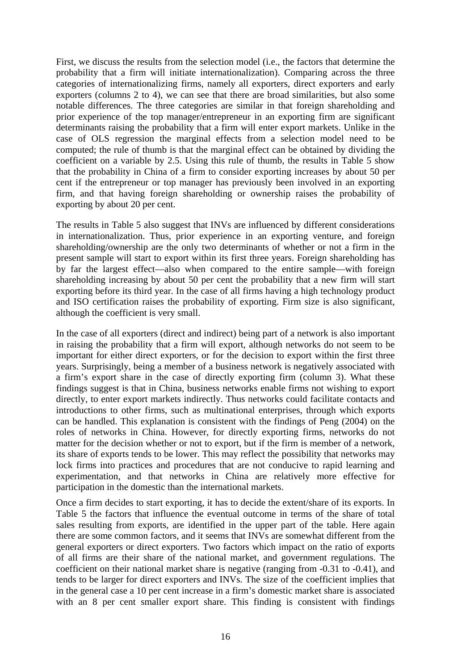First, we discuss the results from the selection model (i.e., the factors that determine the probability that a firm will initiate internationalization). Comparing across the three categories of internationalizing firms, namely all exporters, direct exporters and early exporters (columns 2 to 4), we can see that there are broad similarities, but also some notable differences. The three categories are similar in that foreign shareholding and prior experience of the top manager/entrepreneur in an exporting firm are significant determinants raising the probability that a firm will enter export markets. Unlike in the case of OLS regression the marginal effects from a selection model need to be computed; the rule of thumb is that the marginal effect can be obtained by dividing the coefficient on a variable by 2.5. Using this rule of thumb, the results in Table 5 show that the probability in China of a firm to consider exporting increases by about 50 per cent if the entrepreneur or top manager has previously been involved in an exporting firm, and that having foreign shareholding or ownership raises the probability of exporting by about 20 per cent.

The results in Table 5 also suggest that INVs are influenced by different considerations in internationalization. Thus, prior experience in an exporting venture, and foreign shareholding/ownership are the only two determinants of whether or not a firm in the present sample will start to export within its first three years. Foreign shareholding has by far the largest effect—also when compared to the entire sample—with foreign shareholding increasing by about 50 per cent the probability that a new firm will start exporting before its third year. In the case of all firms having a high technology product and ISO certification raises the probability of exporting. Firm size is also significant, although the coefficient is very small.

In the case of all exporters (direct and indirect) being part of a network is also important in raising the probability that a firm will export, although networks do not seem to be important for either direct exporters, or for the decision to export within the first three years. Surprisingly, being a member of a business network is negatively associated with a firm's export share in the case of directly exporting firm (column 3). What these findings suggest is that in China, business networks enable firms not wishing to export directly, to enter export markets indirectly. Thus networks could facilitate contacts and introductions to other firms, such as multinational enterprises, through which exports can be handled. This explanation is consistent with the findings of Peng (2004) on the roles of networks in China. However, for directly exporting firms, networks do not matter for the decision whether or not to export, but if the firm is member of a network, its share of exports tends to be lower. This may reflect the possibility that networks may lock firms into practices and procedures that are not conducive to rapid learning and experimentation, and that networks in China are relatively more effective for participation in the domestic than the international markets.

Once a firm decides to start exporting, it has to decide the extent/share of its exports. In Table 5 the factors that influence the eventual outcome in terms of the share of total sales resulting from exports, are identified in the upper part of the table. Here again there are some common factors, and it seems that INVs are somewhat different from the general exporters or direct exporters. Two factors which impact on the ratio of exports of all firms are their share of the national market, and government regulations. The coefficient on their national market share is negative (ranging from -0.31 to -0.41), and tends to be larger for direct exporters and INVs. The size of the coefficient implies that in the general case a 10 per cent increase in a firm's domestic market share is associated with an 8 per cent smaller export share. This finding is consistent with findings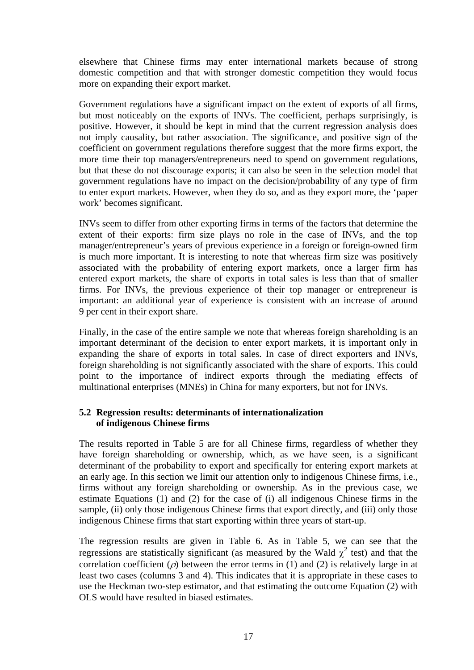elsewhere that Chinese firms may enter international markets because of strong domestic competition and that with stronger domestic competition they would focus more on expanding their export market.

Government regulations have a significant impact on the extent of exports of all firms, but most noticeably on the exports of INVs. The coefficient, perhaps surprisingly, is positive. However, it should be kept in mind that the current regression analysis does not imply causality, but rather association. The significance, and positive sign of the coefficient on government regulations therefore suggest that the more firms export, the more time their top managers/entrepreneurs need to spend on government regulations, but that these do not discourage exports; it can also be seen in the selection model that government regulations have no impact on the decision/probability of any type of firm to enter export markets. However, when they do so, and as they export more, the 'paper work' becomes significant.

INVs seem to differ from other exporting firms in terms of the factors that determine the extent of their exports: firm size plays no role in the case of INVs, and the top manager/entrepreneur's years of previous experience in a foreign or foreign-owned firm is much more important. It is interesting to note that whereas firm size was positively associated with the probability of entering export markets, once a larger firm has entered export markets, the share of exports in total sales is less than that of smaller firms. For INVs, the previous experience of their top manager or entrepreneur is important: an additional year of experience is consistent with an increase of around 9 per cent in their export share.

Finally, in the case of the entire sample we note that whereas foreign shareholding is an important determinant of the decision to enter export markets, it is important only in expanding the share of exports in total sales. In case of direct exporters and INVs, foreign shareholding is not significantly associated with the share of exports. This could point to the importance of indirect exports through the mediating effects of multinational enterprises (MNEs) in China for many exporters, but not for INVs.

## **5.2 Regression results: determinants of internationalization of indigenous Chinese firms**

The results reported in Table 5 are for all Chinese firms, regardless of whether they have foreign shareholding or ownership, which, as we have seen, is a significant determinant of the probability to export and specifically for entering export markets at an early age. In this section we limit our attention only to indigenous Chinese firms, i.e., firms without any foreign shareholding or ownership. As in the previous case, we estimate Equations (1) and (2) for the case of (i) all indigenous Chinese firms in the sample, (ii) only those indigenous Chinese firms that export directly, and (iii) only those indigenous Chinese firms that start exporting within three years of start-up.

The regression results are given in Table 6. As in Table 5, we can see that the regressions are statistically significant (as measured by the Wald  $\chi^2$  test) and that the correlation coefficient ( $\rho$ ) between the error terms in (1) and (2) is relatively large in at least two cases (columns 3 and 4). This indicates that it is appropriate in these cases to use the Heckman two-step estimator, and that estimating the outcome Equation (2) with OLS would have resulted in biased estimates.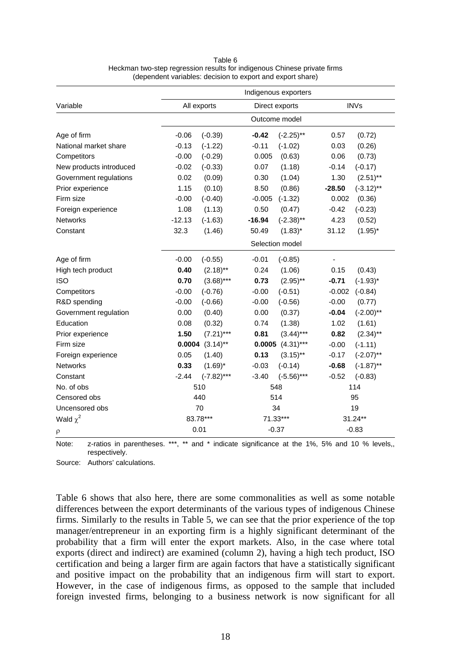|                         | Indigenous exporters          |              |          |                 |             |              |  |
|-------------------------|-------------------------------|--------------|----------|-----------------|-------------|--------------|--|
| Variable                | All exports<br>Direct exports |              |          |                 | <b>INVs</b> |              |  |
|                         | Outcome model                 |              |          |                 |             |              |  |
| Age of firm             | $-0.06$                       | $(-0.39)$    | $-0.42$  | $(-2.25)$ **    | 0.57        | (0.72)       |  |
| National market share   | $-0.13$                       | $(-1.22)$    | $-0.11$  | $(-1.02)$       | 0.03        | (0.26)       |  |
| Competitors             | $-0.00$                       | $(-0.29)$    | 0.005    | (0.63)          | 0.06        | (0.73)       |  |
| New products introduced | $-0.02$                       | $(-0.33)$    | 0.07     | (1.18)          | $-0.14$     | $(-0.17)$    |  |
| Government regulations  | 0.02                          | (0.09)       | 0.30     | (1.04)          | 1.30        | $(2.51)$ **  |  |
| Prior experience        | 1.15                          | (0.10)       | 8.50     | (0.86)          | $-28.50$    | $(-3.12)$ ** |  |
| Firm size               | $-0.00$                       | $(-0.40)$    | $-0.005$ | $(-1.32)$       | 0.002       | (0.36)       |  |
| Foreign experience      | 1.08                          | (1.13)       | 0.50     | (0.47)          | $-0.42$     | $(-0.23)$    |  |
| <b>Networks</b>         | $-12.13$                      | $(-1.63)$    | $-16.94$ | $(-2.38)$ **    | 4.23        | (0.52)       |  |
| Constant                | 32.3                          | (1.46)       | 50.49    | $(1.83)^*$      | 31.12       | $(1.95)^*$   |  |
|                         |                               |              |          | Selection model |             |              |  |
| Age of firm             | $-0.00$                       | $(-0.55)$    | $-0.01$  | $(-0.85)$       |             |              |  |
| High tech product       | 0.40                          | $(2.18)$ **  | 0.24     | (1.06)          | 0.15        | (0.43)       |  |
| <b>ISO</b>              | 0.70                          | $(3.68)***$  | 0.73     | $(2.95)$ **     | $-0.71$     | $(-1.93)^*$  |  |
| Competitors             | $-0.00$                       | $(-0.76)$    | $-0.00$  | $(-0.51)$       | $-0.002$    | $(-0.84)$    |  |
| R&D spending            | $-0.00$                       | $(-0.66)$    | $-0.00$  | $(-0.56)$       | $-0.00$     | (0.77)       |  |
| Government regulation   | 0.00                          | (0.40)       | 0.00     | (0.37)          | $-0.04$     | $(-2.00)$ ** |  |
| Education               | 0.08                          | (0.32)       | 0.74     | (1.38)          | 1.02        | (1.61)       |  |
| Prior experience        | 1.50                          | $(7.21***$   | 0.81     | $(3.44)***$     | 0.82        | $(2.34)$ **  |  |
| Firm size               | 0.0004                        | $(3.14)$ **  | 0.0005   | $(4.31***$      | $-0.00$     | $(-1.11)$    |  |
| Foreign experience      | 0.05                          | (1.40)       | 0.13     | $(3.15)$ **     | $-0.17$     | $(-2.07)$ ** |  |
| <b>Networks</b>         | 0.33                          | $(1.69)^*$   | $-0.03$  | $(-0.14)$       | $-0.68$     | $(-1.87)$ ** |  |
| Constant                | $-2.44$                       | $(-7.82)***$ | $-3.40$  | $(-5.56)$ ***   | $-0.52$     | $(-0.83)$    |  |
| No. of obs              | 510                           |              | 548      |                 | 114         |              |  |
| Censored obs            | 440                           |              | 514      |                 | 95          |              |  |
| Uncensored obs          | 70                            |              | 34       |                 | 19          |              |  |
| Wald $\chi^2$           |                               | 83.78***     | 71.33*** |                 | 31.24**     |              |  |
| $\rho$                  | 0.01                          |              | $-0.37$  |                 | $-0.83$     |              |  |

Table 6 Heckman two-step regression results for indigenous Chinese private firms (dependent variables: decision to export and export share)

Note: z-ratios in parentheses. \*\*\*, \*\* and \* indicate significance at the 1%, 5% and 10 % levels,, respectively.

Source: Authors' calculations.

Table 6 shows that also here, there are some commonalities as well as some notable differences between the export determinants of the various types of indigenous Chinese firms. Similarly to the results in Table 5, we can see that the prior experience of the top manager/entrepreneur in an exporting firm is a highly significant determinant of the probability that a firm will enter the export markets. Also, in the case where total exports (direct and indirect) are examined (column 2), having a high tech product, ISO certification and being a larger firm are again factors that have a statistically significant and positive impact on the probability that an indigenous firm will start to export. However, in the case of indigenous firms, as opposed to the sample that included foreign invested firms, belonging to a business network is now significant for all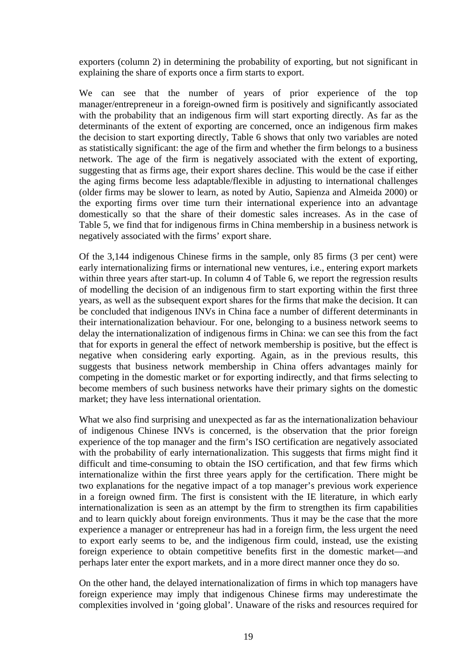exporters (column 2) in determining the probability of exporting, but not significant in explaining the share of exports once a firm starts to export.

We can see that the number of years of prior experience of the top manager/entrepreneur in a foreign-owned firm is positively and significantly associated with the probability that an indigenous firm will start exporting directly. As far as the determinants of the extent of exporting are concerned, once an indigenous firm makes the decision to start exporting directly, Table 6 shows that only two variables are noted as statistically significant: the age of the firm and whether the firm belongs to a business network. The age of the firm is negatively associated with the extent of exporting, suggesting that as firms age, their export shares decline. This would be the case if either the aging firms become less adaptable/flexible in adjusting to international challenges (older firms may be slower to learn, as noted by Autio, Sapienza and Almeida 2000) or the exporting firms over time turn their international experience into an advantage domestically so that the share of their domestic sales increases. As in the case of Table 5, we find that for indigenous firms in China membership in a business network is negatively associated with the firms' export share.

Of the 3,144 indigenous Chinese firms in the sample, only 85 firms (3 per cent) were early internationalizing firms or international new ventures, i.e., entering export markets within three years after start-up. In column 4 of Table 6, we report the regression results of modelling the decision of an indigenous firm to start exporting within the first three years, as well as the subsequent export shares for the firms that make the decision. It can be concluded that indigenous INVs in China face a number of different determinants in their internationalization behaviour. For one, belonging to a business network seems to delay the internationalization of indigenous firms in China: we can see this from the fact that for exports in general the effect of network membership is positive, but the effect is negative when considering early exporting. Again, as in the previous results, this suggests that business network membership in China offers advantages mainly for competing in the domestic market or for exporting indirectly, and that firms selecting to become members of such business networks have their primary sights on the domestic market; they have less international orientation.

What we also find surprising and unexpected as far as the internationalization behaviour of indigenous Chinese INVs is concerned, is the observation that the prior foreign experience of the top manager and the firm's ISO certification are negatively associated with the probability of early internationalization. This suggests that firms might find it difficult and time-consuming to obtain the ISO certification, and that few firms which internationalize within the first three years apply for the certification. There might be two explanations for the negative impact of a top manager's previous work experience in a foreign owned firm. The first is consistent with the IE literature, in which early internationalization is seen as an attempt by the firm to strengthen its firm capabilities and to learn quickly about foreign environments. Thus it may be the case that the more experience a manager or entrepreneur has had in a foreign firm, the less urgent the need to export early seems to be, and the indigenous firm could, instead, use the existing foreign experience to obtain competitive benefits first in the domestic market—and perhaps later enter the export markets, and in a more direct manner once they do so.

On the other hand, the delayed internationalization of firms in which top managers have foreign experience may imply that indigenous Chinese firms may underestimate the complexities involved in 'going global'. Unaware of the risks and resources required for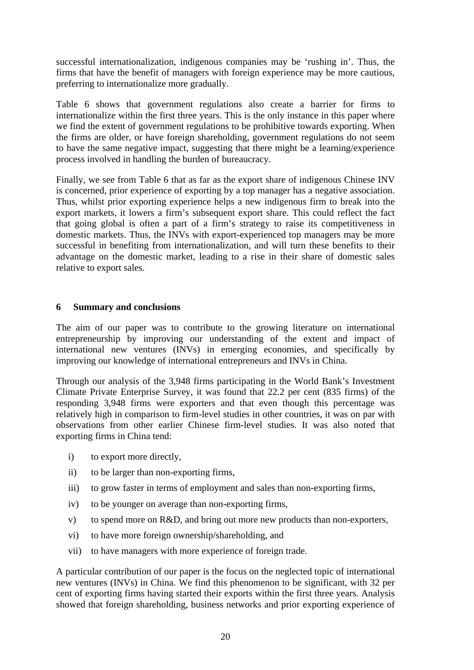successful internationalization, indigenous companies may be 'rushing in'. Thus, the firms that have the benefit of managers with foreign experience may be more cautious, preferring to internationalize more gradually.

Table 6 shows that government regulations also create a barrier for firms to internationalize within the first three years. This is the only instance in this paper where we find the extent of government regulations to be prohibitive towards exporting. When the firms are older, or have foreign shareholding, government regulations do not seem to have the same negative impact, suggesting that there might be a learning/experience process involved in handling the burden of bureaucracy.

Finally, we see from Table 6 that as far as the export share of indigenous Chinese INV is concerned, prior experience of exporting by a top manager has a negative association. Thus, whilst prior exporting experience helps a new indigenous firm to break into the export markets, it lowers a firm's subsequent export share. This could reflect the fact that going global is often a part of a firm's strategy to raise its competitiveness in domestic markets. Thus, the INVs with export-experienced top managers may be more successful in benefiting from internationalization, and will turn these benefits to their advantage on the domestic market, leading to a rise in their share of domestic sales relative to export sales.

#### **6 Summary and conclusions**

The aim of our paper was to contribute to the growing literature on international entrepreneurship by improving our understanding of the extent and impact of international new ventures (INVs) in emerging economies, and specifically by improving our knowledge of international entrepreneurs and INVs in China.

Through our analysis of the 3,948 firms participating in the World Bank's Investment Climate Private Enterprise Survey, it was found that 22.2 per cent (835 firms) of the responding 3,948 firms were exporters and that even though this percentage was relatively high in comparison to firm-level studies in other countries, it was on par with observations from other earlier Chinese firm-level studies. It was also noted that exporting firms in China tend:

- i) to export more directly,
- ii) to be larger than non-exporting firms,
- iii) to grow faster in terms of employment and sales than non-exporting firms,
- iv) to be younger on average than non-exporting firms,
- v) to spend more on R&D, and bring out more new products than non-exporters,
- vi) to have more foreign ownership/shareholding, and
- vii) to have managers with more experience of foreign trade.

A particular contribution of our paper is the focus on the neglected topic of international new ventures (INVs) in China. We find this phenomenon to be significant, with 32 per cent of exporting firms having started their exports within the first three years. Analysis showed that foreign shareholding, business networks and prior exporting experience of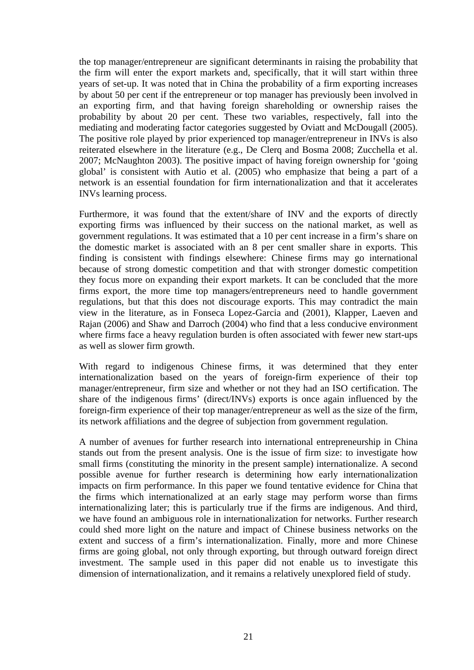the top manager/entrepreneur are significant determinants in raising the probability that the firm will enter the export markets and, specifically, that it will start within three years of set-up. It was noted that in China the probability of a firm exporting increases by about 50 per cent if the entrepreneur or top manager has previously been involved in an exporting firm, and that having foreign shareholding or ownership raises the probability by about 20 per cent. These two variables, respectively, fall into the mediating and moderating factor categories suggested by Oviatt and McDougall (2005). The positive role played by prior experienced top manager/entrepreneur in INVs is also reiterated elsewhere in the literature (e.g., De Clerq and Bosma 2008; Zucchella et al. 2007; McNaughton 2003). The positive impact of having foreign ownership for 'going global' is consistent with Autio et al. (2005) who emphasize that being a part of a network is an essential foundation for firm internationalization and that it accelerates INVs learning process.

Furthermore, it was found that the extent/share of INV and the exports of directly exporting firms was influenced by their success on the national market, as well as government regulations. It was estimated that a 10 per cent increase in a firm's share on the domestic market is associated with an 8 per cent smaller share in exports. This finding is consistent with findings elsewhere: Chinese firms may go international because of strong domestic competition and that with stronger domestic competition they focus more on expanding their export markets. It can be concluded that the more firms export, the more time top managers/entrepreneurs need to handle government regulations, but that this does not discourage exports. This may contradict the main view in the literature, as in Fonseca Lopez-Garcia and (2001), Klapper, Laeven and Rajan (2006) and Shaw and Darroch (2004) who find that a less conducive environment where firms face a heavy regulation burden is often associated with fewer new start-ups as well as slower firm growth.

With regard to indigenous Chinese firms, it was determined that they enter internationalization based on the years of foreign-firm experience of their top manager/entrepreneur, firm size and whether or not they had an ISO certification. The share of the indigenous firms' (direct/INVs) exports is once again influenced by the foreign-firm experience of their top manager/entrepreneur as well as the size of the firm, its network affiliations and the degree of subjection from government regulation.

A number of avenues for further research into international entrepreneurship in China stands out from the present analysis. One is the issue of firm size: to investigate how small firms (constituting the minority in the present sample) internationalize. A second possible avenue for further research is determining how early internationalization impacts on firm performance. In this paper we found tentative evidence for China that the firms which internationalized at an early stage may perform worse than firms internationalizing later; this is particularly true if the firms are indigenous. And third, we have found an ambiguous role in internationalization for networks. Further research could shed more light on the nature and impact of Chinese business networks on the extent and success of a firm's internationalization. Finally, more and more Chinese firms are going global, not only through exporting, but through outward foreign direct investment. The sample used in this paper did not enable us to investigate this dimension of internationalization, and it remains a relatively unexplored field of study.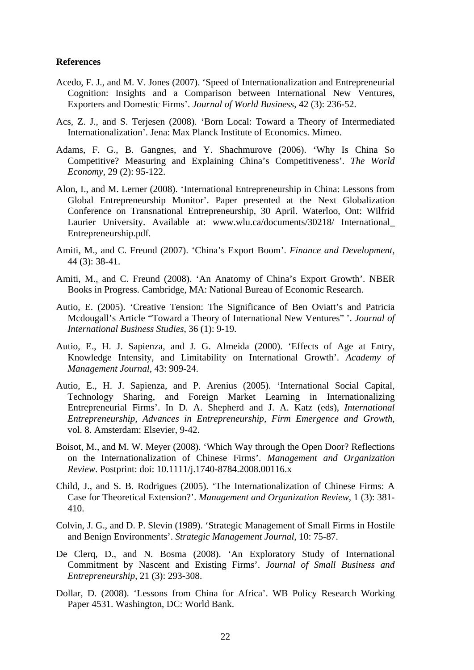#### **References**

- Acedo, F. J., and M. V. Jones (2007). 'Speed of Internationalization and Entrepreneurial Cognition: Insights and a Comparison between International New Ventures, Exporters and Domestic Firms'. *Journal of World Business*, 42 (3): 236-52.
- Acs, Z. J., and S. Terjesen (2008). 'Born Local: Toward a Theory of Intermediated Internationalization'. Jena: Max Planck Institute of Economics. Mimeo.
- Adams, F. G., B. Gangnes, and Y. Shachmurove (2006). 'Why Is China So Competitive? Measuring and Explaining China's Competitiveness'. *The World Economy*, 29 (2): 95-122.
- Alon, I., and M. Lerner (2008). 'International Entrepreneurship in China: Lessons from Global Entrepreneurship Monitor'. Paper presented at the Next Globalization Conference on Transnational Entrepreneurship, 30 April. Waterloo, Ont: Wilfrid Laurier University. Available at: www.wlu.ca/documents/30218/ International\_ Entrepreneurship.pdf.
- Amiti, M., and C. Freund (2007). 'China's Export Boom'. *Finance and Development*, 44 (3): 38-41.
- Amiti, M., and C. Freund (2008). 'An Anatomy of China's Export Growth'. NBER Books in Progress. Cambridge, MA: National Bureau of Economic Research.
- Autio, E. (2005). 'Creative Tension: The Significance of Ben Oviatt's and Patricia Mcdougall's Article "Toward a Theory of International New Ventures" '. *Journal of International Business Studies*, 36 (1): 9-19.
- Autio, E., H. J. Sapienza, and J. G. Almeida (2000). 'Effects of Age at Entry, Knowledge Intensity, and Limitability on International Growth'. *Academy of Management Journal*, 43: 909-24.
- Autio, E., H. J. Sapienza, and P. Arenius (2005). 'International Social Capital, Technology Sharing, and Foreign Market Learning in Internationalizing Entrepreneurial Firms'. In D. A. Shepherd and J. A. Katz (eds), *International Entrepreneurship, Advances in Entrepreneurship, Firm Emergence and Growth*, vol. 8. Amsterdam: Elsevier, 9-42.
- Boisot, M., and M. W. Meyer (2008). 'Which Way through the Open Door? Reflections on the Internationalization of Chinese Firms'. *Management and Organization Review*. Postprint: doi: 10.1111/j.1740-8784.2008.00116.x
- Child, J., and S. B. Rodrigues (2005). 'The Internationalization of Chinese Firms: A Case for Theoretical Extension?'. *Management and Organization Review*, 1 (3): 381- 410.
- Colvin, J. G., and D. P. Slevin (1989). 'Strategic Management of Small Firms in Hostile and Benign Environments'. *Strategic Management Journal*, 10: 75-87.
- De Clerq, D., and N. Bosma (2008). 'An Exploratory Study of International Commitment by Nascent and Existing Firms'. *Journal of Small Business and Entrepreneurship*, 21 (3): 293-308.
- Dollar, D. (2008). 'Lessons from China for Africa'. WB Policy Research Working Paper 4531. Washington, DC: World Bank.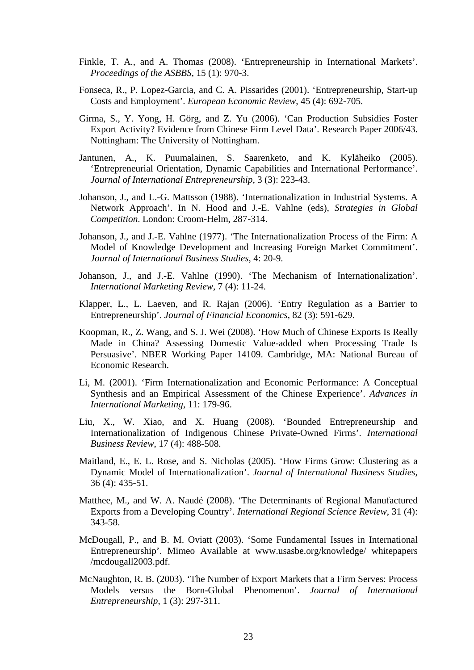- Finkle, T. A., and A. Thomas (2008). 'Entrepreneurship in International Markets'. *Proceedings of the ASBBS*, 15 (1): 970-3.
- Fonseca, R., P. Lopez-Garcia, and C. A. Pissarides (2001). 'Entrepreneurship, Start-up Costs and Employment'. *European Economic Review*, 45 (4): 692-705.
- Girma, S., Y. Yong, H. Görg, and Z. Yu (2006). 'Can Production Subsidies Foster Export Activity? Evidence from Chinese Firm Level Data'. Research Paper 2006/43. Nottingham: The University of Nottingham.
- Jantunen, A., K. Puumalainen, S. Saarenketo, and K. Kyläheiko (2005). 'Entrepreneurial Orientation, Dynamic Capabilities and International Performance'. *Journal of International Entrepreneurship*, 3 (3): 223-43.
- Johanson, J., and L.-G. Mattsson (1988). 'Internationalization in Industrial Systems. A Network Approach'. In N. Hood and J.-E. Vahlne (eds), *Strategies in Global Competition*. London: Croom-Helm, 287 -314.
- Johanson, J., and J.-E. Vahlne (1977). 'The Internationalization Process of the Firm: A Model of Knowledge Development and Increasing Foreign Market Commitment'. *Journal of International Business Studies*, 4: 20-9.
- Johanson, J., and J.-E. Vahlne (1990). 'The Mechanism of Internationalization'. *International Marketing Review*, 7 (4): 11-24.
- Klapper, L., L. Laeven, and R. Rajan (2006). 'Entry Regulation as a Barrier to Entrepreneurship'. *Journal of Financial Economics*, 82 (3): 591-629.
- Koopman, R., Z. Wang, and S. J. Wei (2008). 'How Much of Chinese Exports Is Really Made in China? Assessing Domestic Value-added when Processing Trade Is Persuasive'. NBER Working Paper 14109. Cambridge, MA: National Bureau of Economic Research.
- Li, M. (2001). 'Firm Internationalization and Economic Performance: A Conceptual Synthesis and an Empirical Assessment of the Chinese Experience'. *Advances in International Marketing*, 11: 179-96.
- Liu, X., W. Xiao, and X. Huang (2008). 'Bounded Entrepreneurship and Internationalization of Indigenous Chinese Private-Owned Firms'. *International Business Review*, 17 (4): 488-508.
- Maitland, E., E. L. Rose, and S. Nicholas (2005). 'How Firms Grow: Clustering as a Dynamic Model of Internationalization'. *Journal of International Business Studies*, 36 (4): 435-51.
- Matthee, M., and W. A. Naudé (2008). 'The Determinants of Regional Manufactured Exports from a Developing Country'. *International Regional Science Review*, 31 (4): 343-58.
- McDougall, P., and B. M. Oviatt (2003). 'Some Fundamental Issues in International Entrepreneurship'. Mimeo Available at www.usasbe.org/knowledge/ whitepapers /mcdougall2003.pdf.
- McNaughton, R. B. (2003). 'The Number of Export Markets that a Firm Serves: Process Models versus the Born-Global Phenomenon'. *Journal of International Entrepreneurship*, 1 (3): 297-311.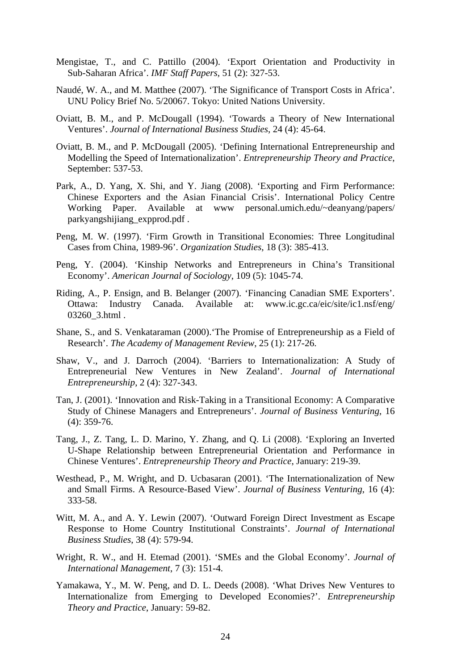- Mengistae, T., and C. Pattillo (2004). 'Export Orientation and Productivity in Sub-Saharan Africa'. *IMF Staff Papers*, 51 (2): 327-53.
- Naudé, W. A., and M. Matthee (2007). 'The Significance of Transport Costs in Africa'. UNU Policy Brief No. 5/20067. Tokyo: United Nations University.
- Oviatt, B. M., and P. McDougall (1994). 'Towards a Theory of New International Ventures'. *Journal of International Business Studies*, 24 (4): 45-64.
- Oviatt, B. M., and P. McDougall (2005). 'Defining International Entrepreneurship and Modelling the Speed of Internationalization'. *Entrepreneurship Theory and Practice*, September: 537-53.
- Park, A., D. Yang, X. Shi, and Y. Jiang (2008). 'Exporting and Firm Performance: Chinese Exporters and the Asian Financial Crisis'. International Policy Centre Working Paper. Available at www personal.umich.edu/~deanyang/papers/ parkyangshijiang\_expprod.pdf .
- Peng, M. W. (1997). 'Firm Growth in Transitional Economies: Three Longitudinal Cases from China, 1989-96'. *Organization Studies*, 18 (3): 385-413.
- Peng, Y. (2004). 'Kinship Networks and Entrepreneurs in China's Transitional Economy'. *American Journal of Sociology*, 109 (5): 1045-74.
- Riding, A., P. Ensign, and B. Belanger (2007). 'Financing Canadian SME Exporters'. Ottawa: Industry Canada. Available at: www.ic.gc.ca/eic/site/ic1.nsf/eng/ 03260\_3.html .
- Shane, S., and S. Venkataraman (2000).'The Promise of Entrepreneurship as a Field of Research'. *The Academy of Management Review*, 25 (1): 217-26.
- Shaw, V., and J. Darroch (2004). 'Barriers to Internationalization: A Study of Entrepreneurial New Ventures in New Zealand'. *Journal of International Entrepreneurship*, 2 (4): 327-343.
- Tan, J. (2001). 'Innovation and Risk-Taking in a Transitional Economy: A Comparative Study of Chinese Managers and Entrepreneurs'. *Journal of Business Venturing*, 16 (4): 359-76.
- Tang, J., Z. Tang, L. D. Marino, Y. Zhang, and Q. Li (2008). 'Exploring an Inverted U-Shape Relationship between Entrepreneurial Orientation and Performance in Chinese Ventures'. *Entrepreneurship Theory and Practice*, January: 219-39.
- Westhead, P., M. Wright, and D. Ucbasaran (2001). 'The Internationalization of New and Small Firms. A Resource-Based View'. *Journal of Business Venturing*, 16 (4): 333-58.
- Witt, M. A., and A. Y. Lewin (2007). 'Outward Foreign Direct Investment as Escape Response to Home Country Institutional Constraints'. *Journal of International Business Studies*, 38 (4): 579-94.
- Wright, R. W., and H. Etemad (2001). 'SMEs and the Global Economy'*. Journal of International Management*, 7 (3): 151-4.
- Yamakawa, Y., M. W. Peng, and D. L. Deeds (2008). 'What Drives New Ventures to Internationalize from Emerging to Developed Economies?'. *Entrepreneurship Theory and Practice*, January: 59-82.